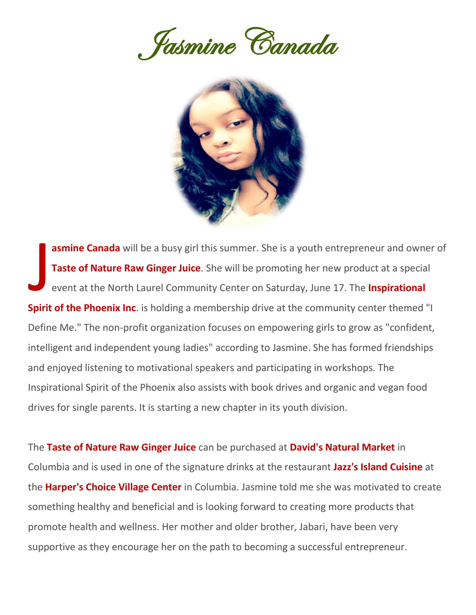Jasmine Canada



**asmine Canada** will be a busy girl this summer. She is a youth entrepreneur and owner of **Taste of Nature Raw Ginger Juice**. She will be promoting her new product at a special event at the North Laurel Community Center on Saturday, June 17. The **Inspirational Spirit of the Phoenix Inc.** is holding a membership drive at the community center themed "I Define Me." The non-profit organization focuses on empowering girls to grow as "confident, intelligent and independent young ladies" according to Jasmine. She has formed friendships and enjoyed listening to motivational speakers and participating in workshops. The Inspirational Spirit of the Phoenix also assists with book drives and organic and vegan food drives for single parents. It is starting a new chapter in its youth division. **J** 

The **Taste of Nature Raw Ginger Juice** can be purchased at **David's Natural Market** in Columbia and is used in one of the signature drinks at the restaurant **Jazz's Island Cuisine** at the **Harper's Choice Village Center** in Columbia. Jasmine told me she was motivated to create something healthy and beneficial and is looking forward to creating more products that promote health and wellness. Her mother and older brother, Jabari, have been very supportive as they encourage her on the path to becoming a successful entrepreneur.